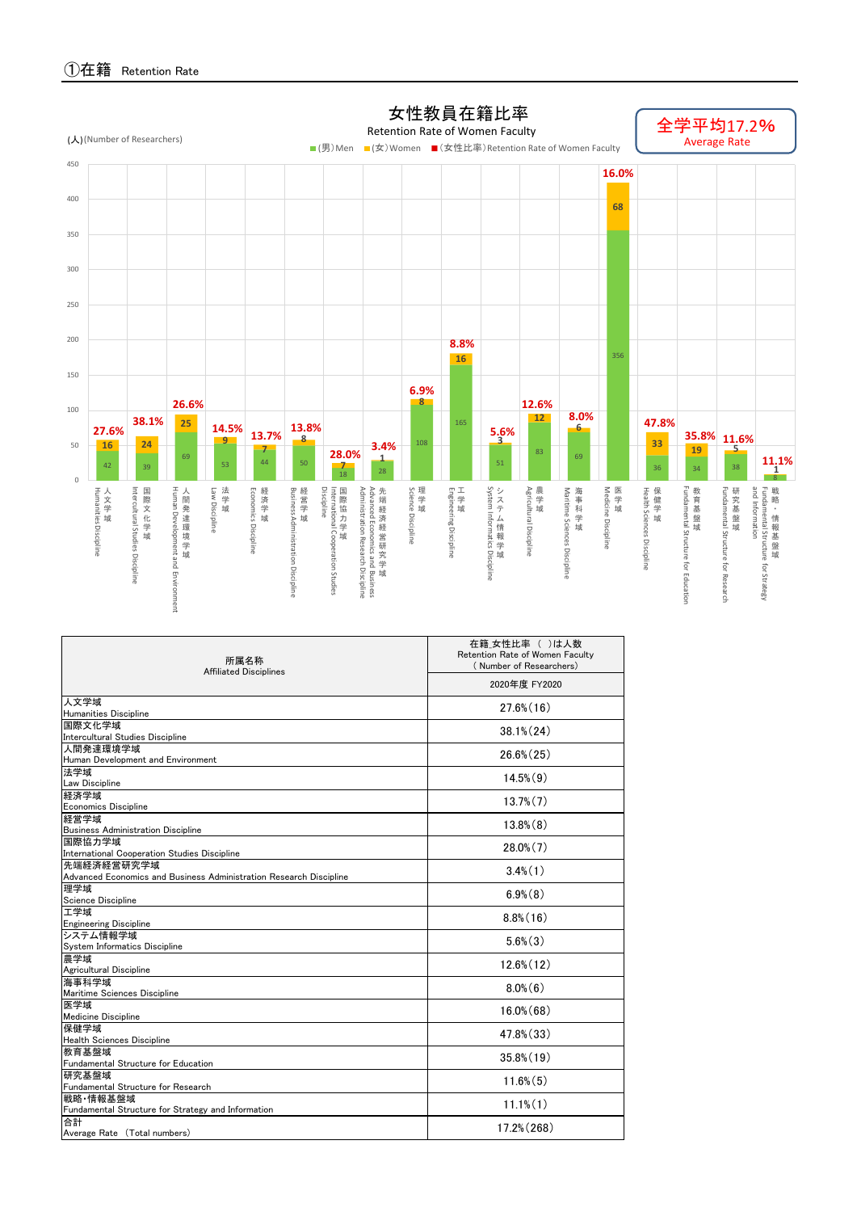①在籍 Retention Rate

| 所属名称<br><b>Affiliated Disciplines</b>                              | 在籍_女性比率 ( )は人数<br>Retention Rate of Women Faculty<br>(Number of Researchers) |  |  |  |  |  |  |
|--------------------------------------------------------------------|------------------------------------------------------------------------------|--|--|--|--|--|--|
|                                                                    | 2020年度 FY2020                                                                |  |  |  |  |  |  |
| 人文学域                                                               | $27.6\%$ (16)                                                                |  |  |  |  |  |  |
| <b>Humanities Discipline</b>                                       |                                                                              |  |  |  |  |  |  |
| 国際文化学域<br>Intercultural Studies Discipline                         | $38.1\% (24)$                                                                |  |  |  |  |  |  |
| 人間発達環境学域                                                           |                                                                              |  |  |  |  |  |  |
| Human Development and Environment                                  | $26.6\% (25)$                                                                |  |  |  |  |  |  |
| 法学域                                                                | $14.5\%$ $(9)$                                                               |  |  |  |  |  |  |
| Law Discipline                                                     |                                                                              |  |  |  |  |  |  |
| 経済学域                                                               | $13.7\%$ $(7)$                                                               |  |  |  |  |  |  |
| <b>Economics Discipline</b>                                        |                                                                              |  |  |  |  |  |  |
| 経営学域                                                               | $13.8\%(8)$                                                                  |  |  |  |  |  |  |
| <b>Business Administration Discipline</b><br> 国際協力学域               |                                                                              |  |  |  |  |  |  |
| International Cooperation Studies Discipline                       | $28.0\%$ $(7)$                                                               |  |  |  |  |  |  |
| 先端経済経営研究学域                                                         |                                                                              |  |  |  |  |  |  |
| Advanced Economics and Business Administration Research Discipline | $3.4\%$ $(1)$                                                                |  |  |  |  |  |  |
| 理学域                                                                |                                                                              |  |  |  |  |  |  |
| Science Discipline                                                 | $6.9\%$ $(8)$                                                                |  |  |  |  |  |  |
| 工学域                                                                | $8.8\%$ (16)                                                                 |  |  |  |  |  |  |
| <b>Engineering Discipline</b>                                      |                                                                              |  |  |  |  |  |  |
| システム情報学域<br>System Informatics Discipline                          | $5.6\%$ $(3)$                                                                |  |  |  |  |  |  |
| 農学域                                                                |                                                                              |  |  |  |  |  |  |
| Agricultural Discipline                                            | $12.6\%$ (12)                                                                |  |  |  |  |  |  |
| 海事科学域                                                              |                                                                              |  |  |  |  |  |  |
| Maritime Sciences Discipline                                       | $8.0\%$ $(6)$                                                                |  |  |  |  |  |  |
| 医学域                                                                | $16.0\%$ $(68)$                                                              |  |  |  |  |  |  |
| <b>Medicine Discipline</b>                                         |                                                                              |  |  |  |  |  |  |
| 保健学域                                                               | 47.8% (33)                                                                   |  |  |  |  |  |  |
| <b>Health Sciences Discipline</b>                                  |                                                                              |  |  |  |  |  |  |
| 教育基盤域<br>Fundamental Structure for Education                       | $35.8\%$ $(19)$                                                              |  |  |  |  |  |  |
| 研究基盤域                                                              |                                                                              |  |  |  |  |  |  |
| Fundamental Structure for Research                                 | $11.6\%$ $(5)$                                                               |  |  |  |  |  |  |
| 戦略 情報基盤域                                                           |                                                                              |  |  |  |  |  |  |
| Fundamental Structure for Strategy and Information                 | $11.1\%$ $(1)$                                                               |  |  |  |  |  |  |
| 合計                                                                 |                                                                              |  |  |  |  |  |  |
| Average Rate (Total numbers)                                       | $17.2\% (268)$                                                               |  |  |  |  |  |  |

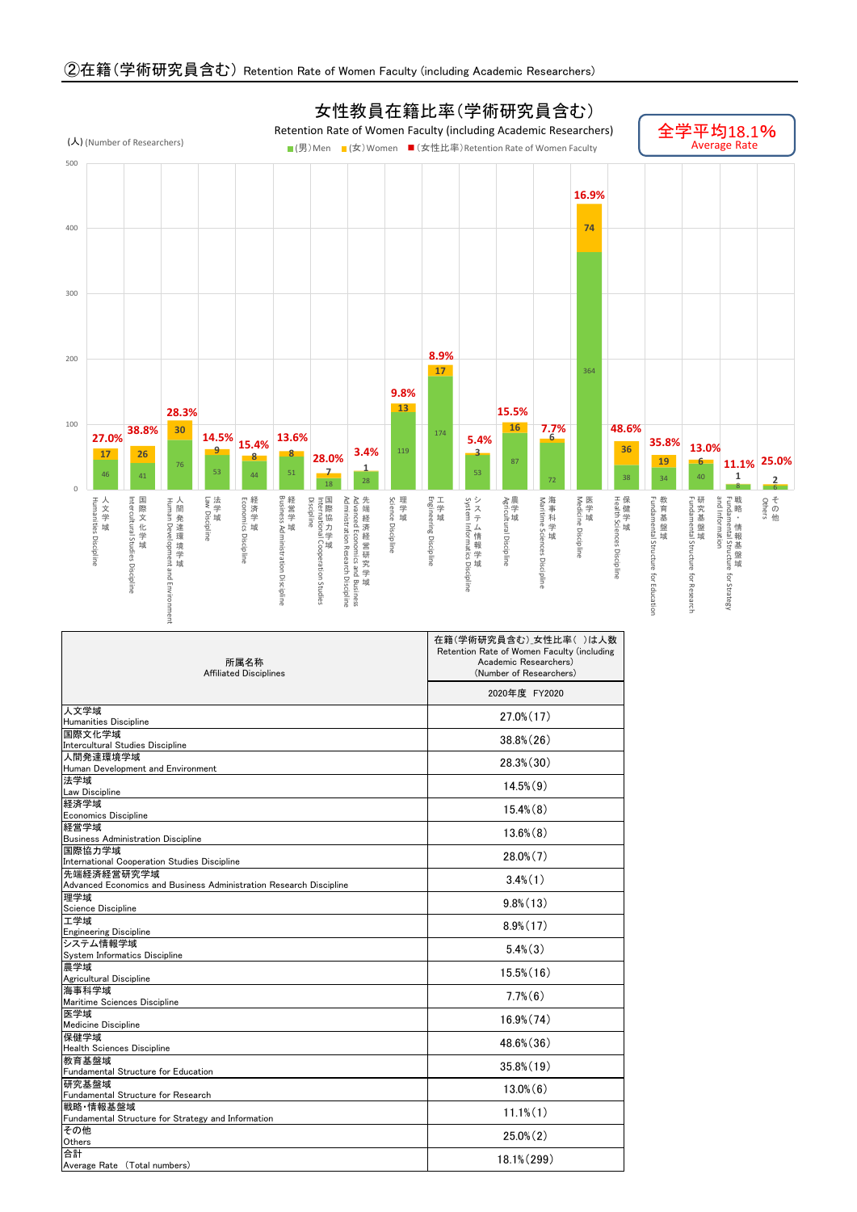## ②在籍(学術研究員含む) Retention Rate of Women Faculty (including Academic Researchers)

| 所属名称<br><b>Affiliated Disciplines</b>                              | 在籍(学術研究員含む)」女性比率()は人数<br>Retention Rate of Women Faculty (including<br>Academic Researchers)<br>(Number of Researchers) |  |  |  |  |  |  |
|--------------------------------------------------------------------|-------------------------------------------------------------------------------------------------------------------------|--|--|--|--|--|--|
|                                                                    | 2020年度 FY2020                                                                                                           |  |  |  |  |  |  |
| 人文学域                                                               | $27.0\%$ (17)                                                                                                           |  |  |  |  |  |  |
| <b>Humanities Discipline</b>                                       |                                                                                                                         |  |  |  |  |  |  |
| 国際文化学域<br>Intercultural Studies Discipline                         | $38.8\%$ $(26)$                                                                                                         |  |  |  |  |  |  |
| 人間発達環境学域                                                           |                                                                                                                         |  |  |  |  |  |  |
| Human Development and Environment                                  | $28.3\%$ $(30)$                                                                                                         |  |  |  |  |  |  |
| 法学域                                                                | $14.5\%$ $(9)$                                                                                                          |  |  |  |  |  |  |
| <b>Law Discipline</b>                                              |                                                                                                                         |  |  |  |  |  |  |
| 経済学域<br><b>Economics Discipline</b>                                | $15.4\%$ $(8)$                                                                                                          |  |  |  |  |  |  |
| 経営学域                                                               |                                                                                                                         |  |  |  |  |  |  |
| <b>Business Administration Discipline</b>                          | $13.6\%$ $(8)$                                                                                                          |  |  |  |  |  |  |
| 国際協力学域                                                             | $28.0\%$ $(7)$                                                                                                          |  |  |  |  |  |  |
| International Cooperation Studies Discipline                       |                                                                                                                         |  |  |  |  |  |  |
| 先端経済経営研究学域                                                         | $3.4\%$ $(1)$                                                                                                           |  |  |  |  |  |  |
| Advanced Economics and Business Administration Research Discipline |                                                                                                                         |  |  |  |  |  |  |
| 理学域                                                                | $9.8\%$ (13)                                                                                                            |  |  |  |  |  |  |
| Science Discipline                                                 |                                                                                                                         |  |  |  |  |  |  |
| 工学域<br><b>Engineering Discipline</b>                               | $8.9\%$ (17)                                                                                                            |  |  |  |  |  |  |
| システム情報学域                                                           |                                                                                                                         |  |  |  |  |  |  |
| System Informatics Discipline                                      | $5.4\%$ $(3)$                                                                                                           |  |  |  |  |  |  |
| 農学域                                                                |                                                                                                                         |  |  |  |  |  |  |
| Agricultural Discipline                                            | $15.5\%$ (16)                                                                                                           |  |  |  |  |  |  |
| 海事科学域                                                              | $7.7\%$ $(6)$                                                                                                           |  |  |  |  |  |  |
| Maritime Sciences Discipline                                       |                                                                                                                         |  |  |  |  |  |  |
| 医学域<br>Medicine Discipline                                         | $16.9\% (74)$                                                                                                           |  |  |  |  |  |  |
| 保健学域                                                               |                                                                                                                         |  |  |  |  |  |  |
| <b>Health Sciences Discipline</b>                                  | 48.6% (36)                                                                                                              |  |  |  |  |  |  |
| 教育基盤域                                                              |                                                                                                                         |  |  |  |  |  |  |
| Fundamental Structure for Education                                | $35.8\%$ (19)                                                                                                           |  |  |  |  |  |  |
| 研究基盤域                                                              | $13.0\%$ (6)                                                                                                            |  |  |  |  |  |  |
| Fundamental Structure for Research                                 |                                                                                                                         |  |  |  |  |  |  |
| 戦略 情報基盤域<br>Fundamental Structure for Strategy and Information     | $11.1\%$ $(1)$                                                                                                          |  |  |  |  |  |  |
| その他                                                                |                                                                                                                         |  |  |  |  |  |  |
| Others                                                             | $25.0\%$ $(2)$                                                                                                          |  |  |  |  |  |  |
| 合計                                                                 | $18.1\% (299)$                                                                                                          |  |  |  |  |  |  |
| Average Rate (Total numbers)                                       |                                                                                                                         |  |  |  |  |  |  |